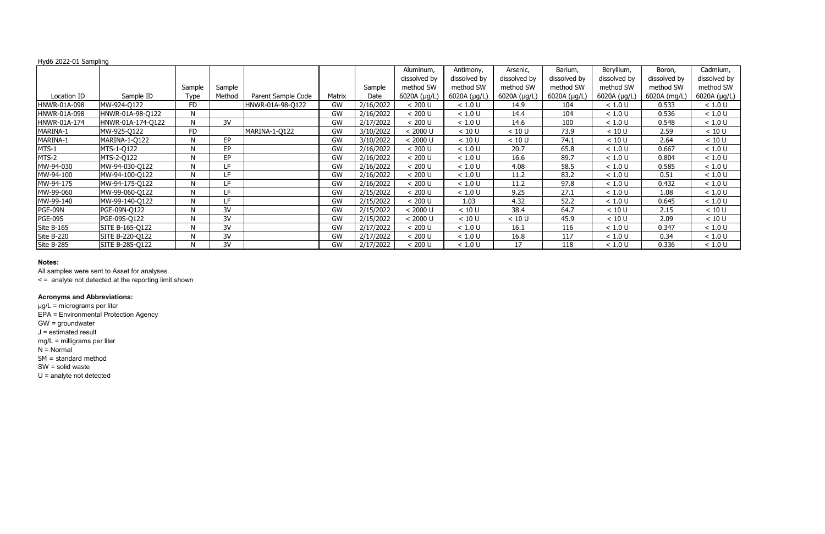|                     |                   |             |           |                    |           |           | Aluminum,    | Antimony,    | Arsenic,     | Barium,      | Beryllium,   | Boron,       | Cadmium,     |
|---------------------|-------------------|-------------|-----------|--------------------|-----------|-----------|--------------|--------------|--------------|--------------|--------------|--------------|--------------|
|                     |                   |             |           |                    |           |           | dissolved by | dissolved by | dissolved by | dissolved by | dissolved by | dissolved by | dissolved by |
|                     |                   | Sample      | Sample    |                    |           | Sample    | method SW    | method SW    | method SW    | method SW    | method SW    | method SW    | method SW    |
| Location ID         | Sample ID         | <b>Type</b> | Method    | Parent Sample Code | Matrix    | Date      | 6020A (µg/L) | 6020A (µg/L) | 6020A (µg/L) | 6020A (µg/L) | 6020A (µg/L) | 6020A (mg/L) | 6020A (µg/L) |
| <b>HNWR-01A-098</b> | MW-924-Q122       | FD.         |           | HNWR-01A-98-Q122   | GW        | 2/16/2022 | < 200 U      | < 1.0 U      | 14.9         | 104          | < 1.0 U      | 0.533        | < 1.0 U      |
| HNWR-01A-098        | HNWR-01A-98-Q122  | N           |           |                    | GW        | 2/16/2022 | < 200 U      | < 1.0 U      | 14.4         | 104          | < 1.0 U      | 0.536        | < 1.0 U      |
| HNWR-01A-174        | HNWR-01A-174-Q122 |             | 3V        |                    | GW        | 2/17/2022 | < 200 U      | < 1.0 U      | 14.6         | 100          | < 1.0 U      | 0.548        | < 1.0 U      |
| MARINA-1            | MW-925-Q122       | <b>FD</b>   |           | MARINA-1-Q122      | GW        | 3/10/2022 | < 2000 U     | < 10 U       | < 10 U       | 73.9         | < 10 U       | 2.59         | < 10 U       |
| MARINA-1            | MARINA-1-Q122     |             | <b>EP</b> |                    | GW        | 3/10/2022 | < 2000 U     | < 10 U       | < 10 U       | 74.1         | < 10 U       | 2.64         | < 10 U       |
| MTS-1               | MTS-1-Q122        | N           | <b>EP</b> |                    | GW        | 2/16/2022 | < 200 U      | < 1.0 U      | 20.7         | 65.8         | < 1.0 U      | 0.667        | < 1.0 U      |
| MTS-2               | MTS-2-Q122        |             | <b>EP</b> |                    | GW        | 2/16/2022 | < 200 U      | < 1.0 U      | 16.6         | 89.7         | < 1.0 U      | 0.804        | < 1.0 U      |
| MW-94-030           | MW-94-030-Q122    | N           | LF.       |                    | GW        | 2/16/2022 | < 200 U      | < 1.0 U      | 4.08         | 58.5         | < 1.0 U      | 0.585        | < 1.0 U      |
| MW-94-100           | MW-94-100-Q122    | N           | LF        |                    | GW        | 2/16/2022 | < 200 U      | < 1.0 U      | 11.2         | 83.2         | < 1.0 U      | 0.51         | < 1.0 U      |
| MW-94-175           | MW-94-175-Q122    | N           | LF.       |                    | GW        | 2/16/2022 | < 200 U      | < 1.0 U      | 11.2         | 97.8         | < 1.0 U      | 0.432        | < 1.0 U      |
| MW-99-060           | MW-99-060-Q122    | N           | LF.       |                    | GW        | 2/15/2022 | < 200 U      | < 1.0 U      | 9.25         | 27.1         | < 1.0 U      | 1.08         | < 1.0 U      |
| MW-99-140           | MW-99-140-Q122    | N           | LF.       |                    | <b>GW</b> | 2/15/2022 | < 200 U      | 1.03         | 4.32         | 52.2         | < 1.0 U      | 0.645        | < 1.0 U      |
| PGE-09N             | PGE-09N-Q122      |             | 3V        |                    | GW        | 2/15/2022 | $< 2000$ U   | < 10 U       | 38.4         | 64.7         | < 10 U       | 2.15         | < 10 U       |
| PGE-09S             | PGE-09S-Q122      | N           | 3V        |                    | <b>GW</b> | 2/15/2022 | < 2000 U     | < 10 U       | < 10 U       | 45.9         | < 10 U       | 2.09         | < 10 U       |
| Site B-165          | SITE B-165-Q122   | N           | 3V        |                    | GW        | 2/17/2022 | < 200 U      | < 1.0 U      | 16.1         | 116          | < 1.0 U      | 0.347        | < 1.0 U      |
| Site B-220          | SITE B-220-Q122   | N           | 3V        |                    | GW        | 2/17/2022 | < 200 U      | < 1.0 U      | 16.8         | 117          | < 1.0 U      | 0.34         | < 1.0 U      |
| Site B-285          | SITE B-285-Q122   | N           | 3V        |                    | GW        | 2/17/2022 | < 200 U      | < 1.0 U      | 17           | 118          | < 1.0 U      | 0.336        | < 1.0 U      |

#### **Notes:**

All samples were sent to Asset for analyses.

< = analyte not detected at the reporting limit shown

# **Acronyms and Abbreviations:**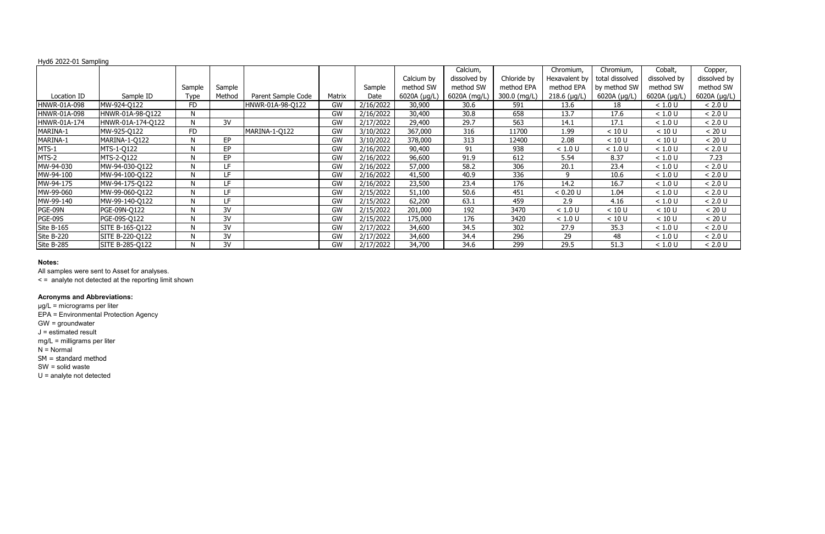|                |                   |              |        |                    |           |           |              | Calcium,     |              | Chromium,      | Chromium,       | Cobalt,      | Copper,      |
|----------------|-------------------|--------------|--------|--------------------|-----------|-----------|--------------|--------------|--------------|----------------|-----------------|--------------|--------------|
|                |                   |              |        |                    |           |           | Calcium by   | dissolved by | Chloride by  | Hexavalent by  | total dissolved | dissolved by | dissolved by |
|                |                   | Sample       | Sample |                    |           | Sample    | method SW    | method SW    | method EPA   | method EPA     | by method SW    | method SW    | method SW    |
| Location ID    | Sample ID         | Type         | Method | Parent Sample Code | Matrix    | Date      | 6020A (µg/L) | 6020A (mg/L) | 300.0 (mg/L) | $218.6$ (µg/L) | 6020A (µg/L)    | 6020A (µg/L) | 6020A (µg/L) |
| HNWR-01A-098   | MW-924-Q122       | <b>FD</b>    |        | HNWR-01A-98-Q122   | <b>GW</b> | 2/16/2022 | 30,900       | 30.6         | 591          | 13.6           | 18              | < 1.0 U      | < 2.0 U      |
| HNWR-01A-098   | HNWR-01A-98-Q122  | N            |        |                    | GW        | 2/16/2022 | 30,400       | 30.8         | 658          | 13.7           | 17.6            | < 1.0 U      | < 2.0 U      |
| HNWR-01A-174   | HNWR-01A-174-Q122 | $\mathsf{N}$ | 3V     |                    | GW        | 2/17/2022 | 29,400       | 29.7         | 563          | 14.1           | 17.1            | < 1.0 U      | < 2.0 U      |
| MARINA-1       | MW-925-Q122       | <b>FD</b>    |        | MARINA-1-Q122      | GW        | 3/10/2022 | 367,000      | 316          | 11700        | 1.99           | < 10 U          | < 10 U       | < 20 U       |
| MARINA-1       | MARINA-1-Q122     | N            | EP     |                    | GW        | 3/10/2022 | 378,000      | 313          | 12400        | 2.08           | < 10 U          | < 10 U       | < 20 U       |
| MTS-1          | MTS-1-Q122        | N            | EP     |                    | GW        | 2/16/2022 | 90,400       | 91           | 938          | < 1.0 U        | < 1.0 U         | < 1.0 U      | < 2.0 U      |
| MTS-2          | MTS-2-Q122        | N            | EP     |                    | GW        | 2/16/2022 | 96,600       | 91.9         | 612          | 5.54           | 8.37            | < 1.0 U      | 7.23         |
| MW-94-030      | MW-94-030-Q122    | N            | LF     |                    | GW        | 2/16/2022 | 57,000       | 58.2         | 306          | 20.1           | 23.4            | < 1.0 U      | < 2.0 U      |
| MW-94-100      | MW-94-100-Q122    | N            | LF     |                    | GW        | 2/16/2022 | 41,500       | 40.9         | 336          | q              | 10.6            | < 1.0 U      | < 2.0 U      |
| MW-94-175      | MW-94-175-Q122    | N            | LF     |                    | GW        | 2/16/2022 | 23,500       | 23.4         | 176          | 14.2           | 16.7            | < 1.0 U      | < 2.0 U      |
| MW-99-060      | MW-99-060-Q122    | N            | LF.    |                    | GW        | 2/15/2022 | 51,100       | 50.6         | 451          | < 0.20 U       | 1.04            | < 1.0 U      | < 2.0 U      |
| MW-99-140      | MW-99-140-Q122    | N            | LF     |                    | GW        | 2/15/2022 | 62,200       | 63.1         | 459          | 2.9            | 4.16            | < 1.0 U      | < 2.0 U      |
| PGE-09N        | PGE-09N-Q122      | N            | 3V     |                    | GW        | 2/15/2022 | 201,000      | 192          | 3470         | < 1.0 U        | < 10 U          | < 10 U       | < 20 U       |
| <b>PGE-09S</b> | PGE-09S-Q122      | N            | 3V     |                    | GW        | 2/15/2022 | 175,000      | 176          | 3420         | < 1.0 U        | < 10 U          | < 10 U       | < 20 U       |
| Site B-165     | SITE B-165-Q122   | N            | 3V     |                    | GW        | 2/17/2022 | 34,600       | 34.5         | 302          | 27.9           | 35.3            | < 1.0 U      | < 2.0 U      |
| Site B-220     | SITE B-220-Q122   | N            | 3V     |                    | GW        | 2/17/2022 | 34,600       | 34.4         | 296          | 29             | 48              | < 1.0 U      | < 2.0 U      |
| Site B-285     | SITE B-285-Q122   | N            | 3V     |                    | GW        | 2/17/2022 | 34,700       | 34.6         | 299          | 29.5           | 51.3            | < 1.0 U      | < 2.0 U      |

### **Notes:**

All samples were sent to Asset for analyses.

< = analyte not detected at the reporting limit shown

# **Acronyms and Abbreviations:**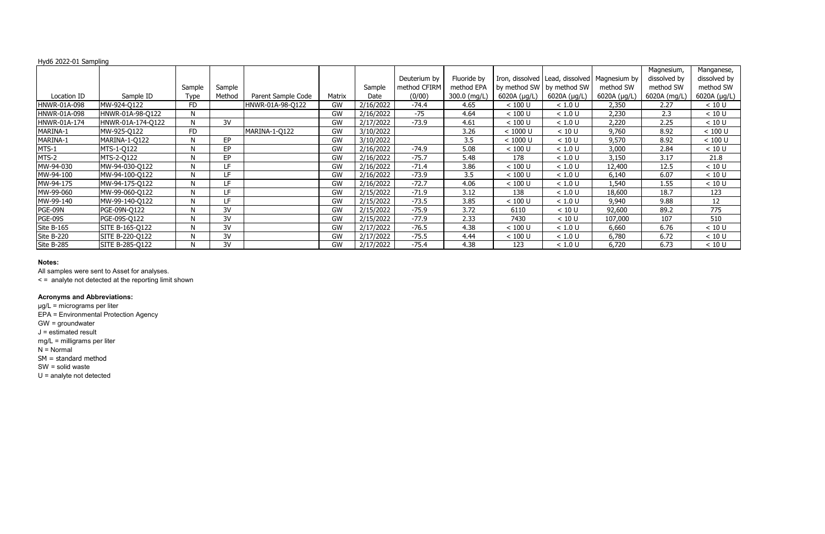|                |                   |             |        |                    |           |           |              |              |              |                                                  |              | Magnesium,   | Manganese,   |
|----------------|-------------------|-------------|--------|--------------------|-----------|-----------|--------------|--------------|--------------|--------------------------------------------------|--------------|--------------|--------------|
|                |                   |             |        |                    |           |           | Deuterium by | Fluoride by  |              | Iron, dissolved   Lead, dissolved   Magnesium by |              | dissolved by | dissolved by |
|                |                   | Sample      | Sample |                    |           | Sample    | method CFIRM | method EPA   |              | by method SW   by method SW                      | method SW    | method SW    | method SW    |
| Location ID    | Sample ID         | <b>Type</b> | Method | Parent Sample Code | Matrix    | Date      | (0/00)       | 300.0 (mg/L) | 6020A (µg/L) | 6020A (µg/L)                                     | 6020A (µg/L) | 6020A (mg/L) | 6020A (µg/L) |
| HNWR-01A-098   | MW-924-Q122       | <b>FD</b>   |        | HNWR-01A-98-Q122   | GW        | 2/16/2022 | $-74.4$      | 4.65         | < 100 U      | < 1.0 U                                          | 2,350        | 2.27         | < 10 U       |
| HNWR-01A-098   | HNWR-01A-98-Q122  | N           |        |                    | <b>GW</b> | 2/16/2022 | $-75$        | 4.64         | < 100 U      | < 1.0 U                                          | 2,230        | 2.3          | < 10 U       |
| HNWR-01A-174   | HNWR-01A-174-Q122 | N           | 3V     |                    | GW        | 2/17/2022 | $-73.9$      | 4.61         | < 100 U      | < 1.0 U                                          | 2,220        | 2.25         | < 10 U       |
| MARINA-1       | MW-925-Q122       | <b>FD</b>   |        | MARINA-1-Q122      | GW        | 3/10/2022 |              | 3.26         | $< 1000$ U   | < 10 U                                           | 9,760        | 8.92         | < 100 U      |
| MARINA-1       | MARINA-1-Q122     | N           | EP     |                    | GW        | 3/10/2022 |              | 3.5          | $< 1000$ U   | < 10 U                                           | 9,570        | 8.92         | < 100 U      |
| MTS-1          | MTS-1-Q122        | N           | EP     |                    | <b>GW</b> | 2/16/2022 | $-74.9$      | 5.08         | < 100 U      | < 1.0 U                                          | 3,000        | 2.84         | < 10 U       |
| MTS-2          | MTS-2-Q122        | N           | EP     |                    | GW        | 2/16/2022 | $-75.7$      | 5.48         | 178          | < 1.0 U                                          | 3,150        | 3.17         | 21.8         |
| MW-94-030      | MW-94-030-Q122    | N           | LF     |                    | GW        | 2/16/2022 | $-71.4$      | 3.86         | < 100 U      | < 1.0 U                                          | 12,400       | 12.5         | < 10 U       |
| MW-94-100      | MW-94-100-Q122    | N           | LF.    |                    | GW        | 2/16/2022 | $-73.9$      | 3.5          | $< 100$ U    | < 1.0 U                                          | 6,140        | 6.07         | < 10 U       |
| MW-94-175      | MW-94-175-Q122    | N           | LF     |                    | GW        | 2/16/2022 | $-72.7$      | 4.06         | < 100 U      | < 1.0 U                                          | 1,540        | 1.55         | < 10 U       |
| MW-99-060      | MW-99-060-Q122    | N           | LF     |                    | GW        | 2/15/2022 | $-71.9$      | 3.12         | 138          | < 1.0 U                                          | 18,600       | 18.7         | 123          |
| MW-99-140      | MW-99-140-Q122    | N           | LF     |                    | GW        | 2/15/2022 | $-73.5$      | 3.85         | < 100 U      | < 1.0 U                                          | 9,940        | 9.88         | 12           |
| PGE-09N        | PGE-09N-Q122      | N           | 3V     |                    | GW        | 2/15/2022 | $-75.9$      | 3.72         | 6110         | < 10 U                                           | 92,600       | 89.2         | 775          |
| <b>PGE-09S</b> | PGE-09S-Q122      | N           | 3V     |                    | GW        | 2/15/2022 | $-77.9$      | 2.33         | 7430         | < 10 U                                           | 107,000      | 107          | 510          |
| Site B-165     | SITE B-165-Q122   | N           | 3V     |                    | GW        | 2/17/2022 | $-76.5$      | 4.38         | < 100 U      | < 1.0 U                                          | 6,660        | 6.76         | < 10 U       |
| Site B-220     | SITE B-220-Q122   | N           | 3V     |                    | GW        | 2/17/2022 | $-75.5$      | 4.44         | < 100 U      | < 1.0 U                                          | 6,780        | 6.72         | < 10 U       |
| Site B-285     | SITE B-285-Q122   | N           | 3V     |                    | GW        | 2/17/2022 | $-75.4$      | 4.38         | 123          | < 1.0 U                                          | 6,720        | 6.73         | < 10 U       |

### **Notes:**

All samples were sent to Asset for analyses.

< = analyte not detected at the reporting limit shown

# **Acronyms and Abbreviations:**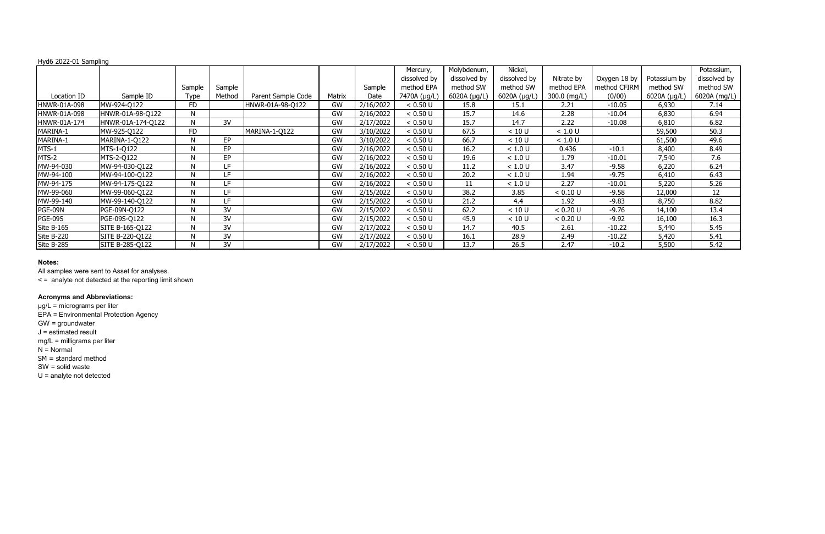|                |                   |             |        |                    |           |           | Mercury,     | Molybdenum,  | Nickel,      |              |              |              | Potassium,   |
|----------------|-------------------|-------------|--------|--------------------|-----------|-----------|--------------|--------------|--------------|--------------|--------------|--------------|--------------|
|                |                   |             |        |                    |           |           | dissolved by | dissolved by | dissolved by | Nitrate by   | Oxygen 18 by | Potassium by | dissolved by |
|                |                   | Sample      | Sample |                    |           | Sample    | method EPA   | method SW    | method SW    | method EPA   | method CFIRM | method SW    | method SW    |
| Location ID    | Sample ID         | <b>Type</b> | Method | Parent Sample Code | Matrix    | Date      | 7470A (µg/L) | 6020A (µg/L) | 6020A (µg/L) | 300.0 (mg/L) | (0/00)       | 6020A (µg/L) | 6020A (mg/L) |
| HNWR-01A-098   | MW-924-Q122       | <b>FD</b>   |        | HNWR-01A-98-Q122   | GW        | 2/16/2022 | < 0.50 U     | 15.8         | 15.1         | 2.21         | $-10.05$     | 6,930        | 7.14         |
| HNWR-01A-098   | HNWR-01A-98-Q122  | N           |        |                    | <b>GW</b> | 2/16/2022 | < 0.50 U     | 15.7         | 14.6         | 2.28         | $-10.04$     | 6,830        | 6.94         |
| HNWR-01A-174   | HNWR-01A-174-Q122 | N           | 3V     |                    | GW        | 2/17/2022 | < 0.50 U     | 15.7         | 14.7         | 2.22         | $-10.08$     | 6,810        | 6.82         |
| MARINA-1       | MW-925-Q122       | <b>FD</b>   |        | MARINA-1-Q122      | GW        | 3/10/2022 | < 0.50 U     | 67.5         | < 10 U       | < 1.0 U      |              | 59,500       | 50.3         |
| MARINA-1       | MARINA-1-Q122     | N           | EP     |                    | GW        | 3/10/2022 | < 0.50 U     | 66.7         | < 10 U       | < 1.0 U      |              | 61,500       | 49.6         |
| MTS-1          | MTS-1-Q122        | N           | EP     |                    | <b>GW</b> | 2/16/2022 | < 0.50 U     | 16.2         | < 1.0 U      | 0.436        | $-10.1$      | 8,400        | 8.49         |
| MTS-2          | MTS-2-Q122        | N           | EP     |                    | GW        | 2/16/2022 | < 0.50 U     | 19.6         | < 1.0 U      | 1.79         | $-10.01$     | 7,540        | 7.6          |
| MW-94-030      | MW-94-030-Q122    | N           | LF     |                    | GW        | 2/16/2022 | < 0.50 U     | 11.2         | < 1.0 U      | 3.47         | $-9.58$      | 6,220        | 6.24         |
| MW-94-100      | MW-94-100-Q122    | N           | LF.    |                    | GW        | 2/16/2022 | < 0.50 U     | 20.2         | < 1.0 U      | 1.94         | $-9.75$      | 6,410        | 6.43         |
| MW-94-175      | MW-94-175-Q122    | N           | LF     |                    | GW        | 2/16/2022 | < 0.50 U     | 11           | < 1.0 U      | 2.27         | $-10.01$     | 5,220        | 5.26         |
| MW-99-060      | MW-99-060-Q122    | N           | LF     |                    | GW        | 2/15/2022 | < 0.50 U     | 38.2         | 3.85         | < 0.10 U     | $-9.58$      | 12,000       | 12           |
| MW-99-140      | MW-99-140-Q122    | N           | LF     |                    | GW        | 2/15/2022 | < 0.50 U     | 21.2         | 4.4          | 1.92         | $-9.83$      | 8,750        | 8.82         |
| PGE-09N        | PGE-09N-Q122      | N           | 3V     |                    | GW        | 2/15/2022 | < 0.50 U     | 62.2         | < 10 U       | < 0.20 U     | $-9.76$      | 14,100       | 13.4         |
| <b>PGE-09S</b> | PGE-09S-Q122      | N           | 3V     |                    | GW        | 2/15/2022 | < 0.50 U     | 45.9         | < 10 U       | < 0.20 U     | $-9.92$      | 16,100       | 16.3         |
| Site B-165     | SITE B-165-Q122   | N           | 3V     |                    | GW        | 2/17/2022 | < 0.50 U     | 14.7         | 40.5         | 2.61         | $-10.22$     | 5,440        | 5.45         |
| Site B-220     | SITE B-220-Q122   | N           | 3V     |                    | GW        | 2/17/2022 | < 0.50 U     | 16.1         | 28.9         | 2.49         | $-10.22$     | 5,420        | 5.41         |
| Site B-285     | SITE B-285-Q122   | N           | 3V     |                    | <b>GW</b> | 2/17/2022 | < 0.50 U     | 13.7         | 26.5         | 2.47         | $-10.2$      | 5,500        | 5.42         |

### **Notes:**

All samples were sent to Asset for analyses.

< = analyte not detected at the reporting limit shown

# **Acronyms and Abbreviations:**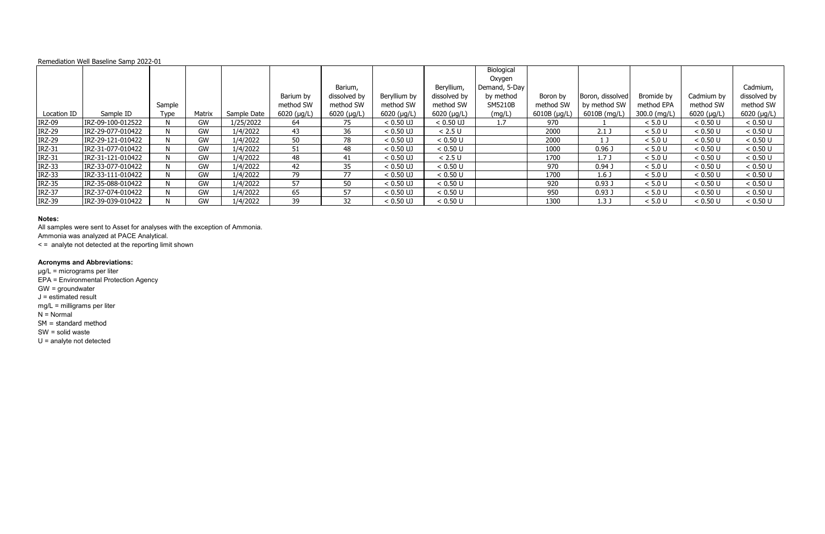|               |                   |             |        |             |               | Barium,             |              | Beryllium,    | Biological<br>Oxygen<br>Demand, 5-Day |              |                   |              |                     | Cadmium,      |
|---------------|-------------------|-------------|--------|-------------|---------------|---------------------|--------------|---------------|---------------------------------------|--------------|-------------------|--------------|---------------------|---------------|
|               |                   |             |        |             | Barium by     | dissolved by        | Beryllium by | dissolved by  | by method                             | Boron by     | Boron, dissolved  | Bromide by   | Cadmium by          | dissolved by  |
|               |                   | Sample      |        |             | method SW     | method SW           | method SW    | method SW     | <b>SM5210B</b>                        | method SW    | by method SW      | method EPA   | method SW           | method SW     |
| Location ID   | Sample ID         | <b>Type</b> | Matrix | Sample Date | $6020$ (µg/L) | $6020$ ( $\mu$ g/L) | 6020 (µg/L)  | $6020$ (µg/L) | (mg/L)                                | 6010B (µg/L) | 6010B (mg/L)      | 300.0 (mg/L) | $6020$ ( $\mu$ g/L) | $6020$ (µg/L) |
|               |                   |             |        |             |               |                     |              |               |                                       |              |                   |              |                     |               |
| <b>IRZ-09</b> | IRZ-09-100-012522 |             | GW     | 1/25/2022   | 64            | 75                  | $< 0.50$ UJ  | $< 0.50$ UJ   | 1.7                                   | 970          |                   | < 5.0 U      | < 0.50 U            | < 0.50 U      |
| <b>IRZ-29</b> | IRZ-29-077-010422 |             | GW     | 1/4/2022    | 43            | 36                  | $< 0.50$ UJ  | < 2.5 U       |                                       | 2000         | 2.1 <sub>J</sub>  | < 5.0 U      | < 0.50 U            | < 0.50 U      |
| <b>IRZ-29</b> | IRZ-29-121-010422 |             | GW     | 1/4/2022    | 50            | 78                  | $< 0.50$ UJ  | < 0.50 U      |                                       | 2000         |                   | < 5.0 U      | < 0.50 U            | < 0.50 U      |
| <b>IRZ-31</b> | IRZ-31-077-010422 |             | GW     | 1/4/2022    | 51            | 48                  | $< 0.50$ UJ  | < 0.50 U      |                                       | 1000         | $0.96$ J          | < 5.0 U      | < 0.50 U            | < 0.50 U      |
| <b>IRZ-31</b> | IRZ-31-121-010422 |             | GW     | 1/4/2022    | 48            | 41                  | $< 0.50$ UJ  | < 2.5 U       |                                       | 1700         | 1.7J              | < 5.0 U      | < 0.50 U            | < 0.50 U      |
| <b>IRZ-33</b> | IRZ-33-077-010422 |             | GW     | 1/4/2022    | 42            | 35                  | $< 0.50$ UJ  | < 0.50 U      |                                       | 970          | $0.94$ J          | < 5.0 U      | < 0.50 U            | < 0.50 U      |
| <b>IRZ-33</b> | IRZ-33-111-010422 |             | GW     | 1/4/2022    | 79            | 77                  | $< 0.50$ UJ  | < 0.50 U      |                                       | 1700         | 1.6 <sub>J</sub>  | < 5.0 U      | < 0.50 U            | < 0.50 U      |
| <b>IRZ-35</b> | IRZ-35-088-010422 |             | GW     | 1/4/2022    | 57            | 50                  | $< 0.50$ UJ  | < 0.50 U      |                                       | 920          | 0.93 <sub>J</sub> | < 5.0 U      | < 0.50 U            | < 0.50 U      |
| <b>IRZ-37</b> | IRZ-37-074-010422 |             | GW     | 1/4/2022    | 65            | 57                  | $< 0.50$ UJ  | < 0.50 U      |                                       | 950          | 0.93 <sub>0</sub> | < 5.0 U      | < 0.50 U            | < 0.50 U      |
| <b>IRZ-39</b> | IRZ-39-039-010422 |             | GW     | 1/4/2022    | 39            | 32                  | $< 0.50$ UJ  | < 0.50 U      |                                       | 1300         | 1.3J              | < 5.0 U      | < 0.50 U            | < 0.50 U      |

### **Notes:**

All samples were sent to Asset for analyses with the exception of Ammonia.

Ammonia was analyzed at PACE Analytical.

< = analyte not detected at the reporting limit shown

## **Acronyms and Abbreviations:**

µg/L = micrograms per liter

EPA = Environmental Protection Agency

- GW = groundwater
- $J =$  estimated result
- mg/L = milligrams per liter

 $N =$  Normal

- SM = standard method
- SW = solid waste
- U = analyte not detected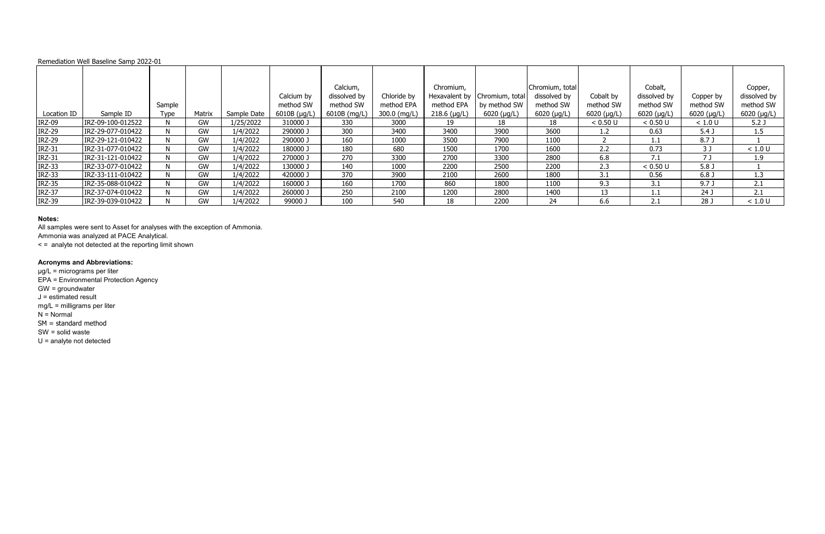|               |                   | Sample |           |             | Calcium by<br>method SW | Calcium,<br>dissolved by<br>method SW | Chloride by<br>method EPA | Chromium,<br>method EPA | Hexavalent by Chromium, total<br>by method SW | Chromium, total<br>dissolved by<br>method SW | Cobalt by<br>method SW | Cobalt,<br>dissolved by<br>method SW | Copper by<br>method SW | Copper,<br>dissolved by<br>method SW |
|---------------|-------------------|--------|-----------|-------------|-------------------------|---------------------------------------|---------------------------|-------------------------|-----------------------------------------------|----------------------------------------------|------------------------|--------------------------------------|------------------------|--------------------------------------|
| Location ID   | Sample ID         | Type   | Matrix    | Sample Date | 6010B (µg/L)            | 6010B (mg/L)                          | 300.0 (mg/L)              | $218.6$ (µg/L)          | $6020$ (µg/L)                                 | $6020$ (µg/L)                                | $6020$ ( $\mu$ g/L)    | $6020$ (µg/L)                        | $6020$ ( $\mu$ g/L)    | 6020 (µg/L)                          |
| <b>IRZ-09</b> | IRZ-09-100-012522 |        | GW        | 1/25/2022   | 310000 J                | 330                                   | 3000                      | 19                      | 18                                            | 18                                           | < 0.50 U               | < 0.50 U                             | < 1.0 U                | 5.2 <sub>J</sub>                     |
| <b>IRZ-29</b> | IRZ-29-077-010422 |        | GW        | 1/4/2022    | 290000 J                | 300                                   | 3400                      | 3400                    | 3900                                          | 3600                                         | 1.2                    | 0.63                                 | 5.4 <sub>J</sub>       | 1.5                                  |
| <b>IRZ-29</b> | IRZ-29-121-010422 |        | GW        | 1/4/2022    | 290000 J                | 160                                   | 1000                      | 3500                    | 7900                                          | 1100                                         |                        | 1.1                                  | 8.7 J                  |                                      |
| <b>IRZ-31</b> | IRZ-31-077-010422 |        | <b>GW</b> | 1/4/2022    | 180000 J                | 180                                   | 680                       | 1500                    | 1700                                          | 1600                                         | 2.2                    | 0.73                                 | 3 J                    | < 1.0 U                              |
| <b>IRZ-31</b> | IRZ-31-121-010422 |        | GW        | 1/4/2022    | 270000 J                | 270                                   | 3300                      | 2700                    | 3300                                          | 2800                                         | 6.8                    | 7.1                                  | 7 J                    | 1.9                                  |
| <b>IRZ-33</b> | IRZ-33-077-010422 |        | <b>GW</b> | 1/4/2022    | 130000 J                | 140                                   | 1000                      | 2200                    | 2500                                          | 2200                                         | 2.3                    | < 0.50 U                             | 5.8 <sub>J</sub>       |                                      |
| <b>IRZ-33</b> | IRZ-33-111-010422 |        | GW        | 1/4/2022    | 420000 J                | 370                                   | 3900                      | 2100                    | 2600                                          | 1800                                         | 3.1                    | 0.56                                 | 6.8 <sub>0</sub>       | 1.3                                  |
| <b>IRZ-35</b> | IRZ-35-088-010422 |        | GW        | 1/4/2022    | 160000 J                | 160                                   | 1700                      | 860                     | 1800                                          | 1100                                         | 9.3                    | 3.1                                  | 9.7 <sub>J</sub>       | 2.1                                  |
| <b>IRZ-37</b> | IRZ-37-074-010422 |        | GW        | 1/4/2022    | 260000 J                | 250                                   | 2100                      | 1200                    | 2800                                          | 1400                                         | 13                     |                                      | 24 J                   | 2.1                                  |
| <b>IRZ-39</b> | IRZ-39-039-010422 |        | <b>GW</b> | 1/4/2022    | 99000 J                 | 100                                   | 540                       | 18                      | 2200                                          | 24                                           | 6.6                    | 2.1                                  | 28 J                   | < 1.0 U                              |

### **Notes:**

All samples were sent to Asset for analyses with the exception of Ammonia.

Ammonia was analyzed at PACE Analytical.

< = analyte not detected at the reporting limit shown

## **Acronyms and Abbreviations:**

µg/L = micrograms per liter

EPA = Environmental Protection Agency

GW = groundwater

 $J =$  estimated result

mg/L = milligrams per liter

 $N =$  Normal

SM = standard method

SW = solid waste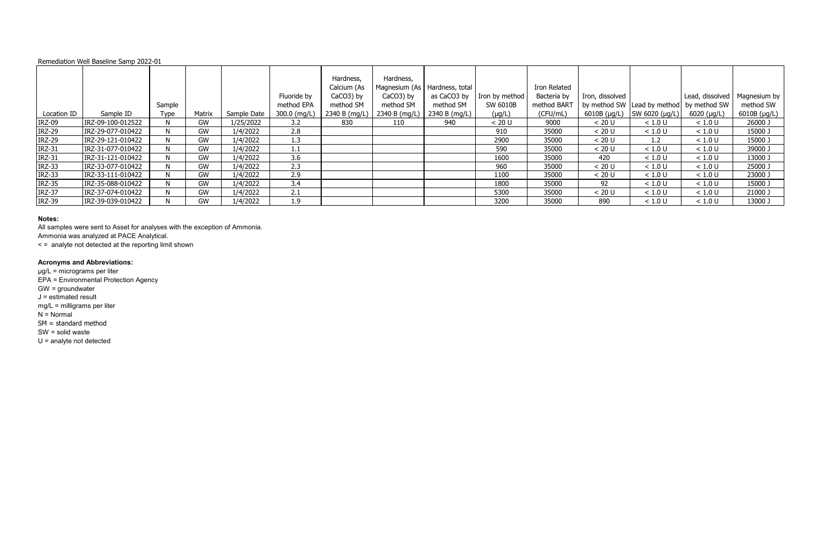|               |                   | Sample |           |             | Fluoride by<br>method EPA | Hardness,<br>Calcium (As<br>CaCO3) by<br>method SM | Hardness,<br>CaCO3) by<br>method SM | Magnesium (As   Hardness, total<br>as CaCO3 by<br>method SM | Iron by method<br>SW 6010B | Iron Related<br>Bacteria by<br>method BART | Iron, dissolved | by method SW   Lead by method   by method SW | Lead, dissolved | Magnesium by<br>method SW |
|---------------|-------------------|--------|-----------|-------------|---------------------------|----------------------------------------------------|-------------------------------------|-------------------------------------------------------------|----------------------------|--------------------------------------------|-----------------|----------------------------------------------|-----------------|---------------------------|
| Location ID   | Sample ID         | Type   | Matrix    | Sample Date | 300.0 (mg/L)              | 2340 B (mg/L)                                      | 2340 B (mg/L)                       | $\vert$ 2340 B (mg/L)                                       | $(\mu g/L)$                | (CFU/mL)                                   | 6010B (µg/L)    | SW 6020 (µg/L)                               | $6020$ (µg/L)   | 6010B (µg/L)              |
| <b>IRZ-09</b> | IRZ-09-100-012522 |        | GW        | 1/25/2022   | 3.2                       | 830                                                | 110                                 | 940                                                         | < 20 U                     | 9000                                       | < 20 U          | < 1.0 U                                      | < 1.0 U         | 26000 J                   |
| <b>IRZ-29</b> | IRZ-29-077-010422 |        | GW        | 1/4/2022    | 2.8                       |                                                    |                                     |                                                             | 910                        | 35000                                      | < 20 U          | < 1.0 U                                      | < 1.0 U         | 15000 J                   |
| <b>IRZ-29</b> | IRZ-29-121-010422 |        | GW        | 1/4/2022    | 1.3                       |                                                    |                                     |                                                             | 2900                       | 35000                                      | < 20 U          | 1.2                                          | < 1.0 U         | 15000 J                   |
| <b>IRZ-31</b> | IRZ-31-077-010422 |        | GW        | 1/4/2022    | 1.1                       |                                                    |                                     |                                                             | 590                        | 35000                                      | < 20 U          | < 1.0 U                                      | < 1.0 U         | 39000 J                   |
| <b>IRZ-31</b> | IRZ-31-121-010422 |        | GW        | 1/4/2022    | 3.6                       |                                                    |                                     |                                                             | 1600                       | 35000                                      | 420             | < 1.0 U                                      | < 1.0 U         | 13000 J                   |
| <b>IRZ-33</b> | IRZ-33-077-010422 |        | GW        | 1/4/2022    | 2.3                       |                                                    |                                     |                                                             | 960                        | 35000                                      | < 20 U          | < 1.0 U                                      | < 1.0 U         | 25000 J                   |
| <b>IRZ-33</b> | IRZ-33-111-010422 |        | <b>GW</b> | 1/4/2022    | 2.9                       |                                                    |                                     |                                                             | 1100                       | 35000                                      | < 20 U          | < 1.0 U                                      | < 1.0 U         | 23000 J                   |
| <b>IRZ-35</b> | IRZ-35-088-010422 |        | GW        | 1/4/2022    | 3.4                       |                                                    |                                     |                                                             | 1800                       | 35000                                      | 92              | < 1.0 U                                      | < 1.0 U         | 15000 J                   |
| <b>IRZ-37</b> | IRZ-37-074-010422 |        | GW        | 1/4/2022    | 2.1                       |                                                    |                                     |                                                             | 5300                       | 35000                                      | < 20 U          | < 1.0 U                                      | < 1.0 U         | 21000 J                   |
| <b>IRZ-39</b> | IRZ-39-039-010422 |        | GW        | 1/4/2022    | 1.9                       |                                                    |                                     |                                                             | 3200                       | 35000                                      | 890             | < 1.0 U                                      | < 1.0 U         | 13000 J                   |

### **Notes:**

All samples were sent to Asset for analyses with the exception of Ammonia. Ammonia was analyzed at PACE Analytical.

< = analyte not detected at the reporting limit shown

## **Acronyms and Abbreviations:**

µg/L = micrograms per liter

EPA = Environmental Protection Agency

GW = groundwater

 $J =$  estimated result

mg/L = milligrams per liter

 $N =$  Normal

SM = standard method

SW = solid waste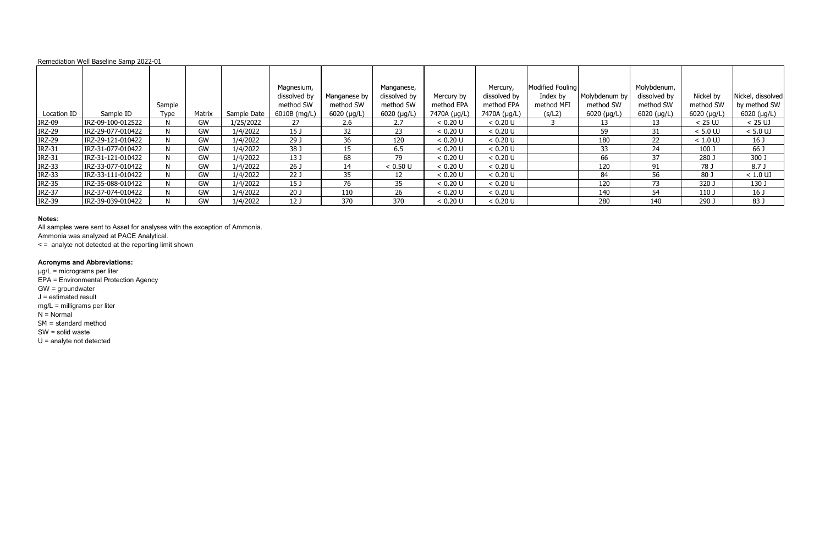|               |                   | Sample |        |             | Magnesium,<br>dissolved by<br>method SW | Manganese by<br>method SW | Manganese,<br>dissolved by<br>method SW | Mercury by<br>method EPA | Mercury,<br>dissolved by<br>method EPA | Modified Fouling<br>Index by<br>method MFI | Molybdenum by<br>method SW | Molybdenum,<br>dissolved by<br>method SW | Nickel by<br>method SW | Nickel, dissolved<br>by method SW |
|---------------|-------------------|--------|--------|-------------|-----------------------------------------|---------------------------|-----------------------------------------|--------------------------|----------------------------------------|--------------------------------------------|----------------------------|------------------------------------------|------------------------|-----------------------------------|
| Location ID   | Sample ID         | Type   | Matrix | Sample Date | 6010B (mg/L)                            | $6020$ (µg/L)             | $6020$ (µg/L)                           | 7470A (µg/L)             | 7470A (µg/L)                           | (s/L2)                                     | 6020 (µg/L)                | $6020$ ( $\mu$ g/L)                      | $6020$ ( $\mu$ g/L)    | 6020 (µg/L)                       |
| <b>IRZ-09</b> | IRZ-09-100-012522 |        | GW     | 1/25/2022   | 27                                      | 2.6                       | 2.7                                     | < 0.20 U                 | < 0.20 U                               |                                            |                            | 13                                       | $< 25$ UJ              | $< 25$ UJ                         |
| <b>IRZ-29</b> | IRZ-29-077-010422 |        | GW     | 1/4/2022    | 15 J                                    | 32                        | 23                                      | < 0.20 U                 | < 0.20 U                               |                                            | 59                         | 31                                       | $< 5.0$ UJ             | $< 5.0$ UJ                        |
| <b>IRZ-29</b> | IRZ-29-121-010422 |        | GW     | 1/4/2022    | 29J                                     | 36                        | 120                                     | < 0.20 U                 | < 0.20 U                               |                                            | 180                        | 22                                       | $< 1.0$ UJ             | 16 <sub>J</sub>                   |
| <b>IRZ-31</b> | IRZ-31-077-010422 |        | GW     | 1/4/2022    | 38 J                                    | 15                        | 6.5                                     | < 0.20 U                 | < 0.20 U                               |                                            | 33                         | 24                                       | 100 J                  | 66 J                              |
| <b>IRZ-31</b> | IRZ-31-121-010422 |        | GW     | 1/4/2022    | 13J                                     | 68                        | 79                                      | < 0.20 U                 | < 0.20 U                               |                                            | 66                         | 37                                       | 280 J                  | 300J                              |
| <b>IRZ-33</b> | IRZ-33-077-010422 |        | GW     | 1/4/2022    | 26 <sub>J</sub>                         | 14                        | < 0.50 U                                | < 0.20 U                 | < 0.20 U                               |                                            | 120                        | 91                                       | 78 J                   | 8.7J                              |
| <b>IRZ-33</b> | IRZ-33-111-010422 |        | GW     | 1/4/2022    | 22J                                     | 35                        | $12 \overline{ }$                       | < 0.20 U                 | < 0.20 U                               |                                            | 84                         | 56                                       | 80 J                   | $< 1.0$ UJ                        |
| <b>IRZ-35</b> | IRZ-35-088-010422 |        | GW     | 1/4/2022    | 15 <sub>J</sub>                         | 76                        | 35                                      | < 0.20 U                 | < 0.20 U                               |                                            | 120                        | 73                                       | 320 J                  | 130 J                             |
| <b>IRZ-37</b> | IRZ-37-074-010422 |        | GW     | 1/4/2022    | 20 <sub>J</sub>                         | 110                       | 26                                      | < 0.20 U                 | < 0.20 U                               |                                            | 140                        | 54                                       | 110J                   | 16 J                              |
| <b>IRZ-39</b> | IRZ-39-039-010422 |        | GW     | 1/4/2022    | 12 <sub>J</sub>                         | 370                       | 370                                     | < 0.20 U                 | < 0.20 U                               |                                            | 280                        | 140                                      | 290 J                  | 83 J                              |

- GW = groundwater
- $J =$  estimated result

### **Notes:**

All samples were sent to Asset for analyses with the exception of Ammonia.

Ammonia was analyzed at PACE Analytical.

< = analyte not detected at the reporting limit shown

## **Acronyms and Abbreviations:**

µg/L = micrograms per liter

EPA = Environmental Protection Agency

mg/L = milligrams per liter

 $N =$  Normal

SM = standard method

SW = solid waste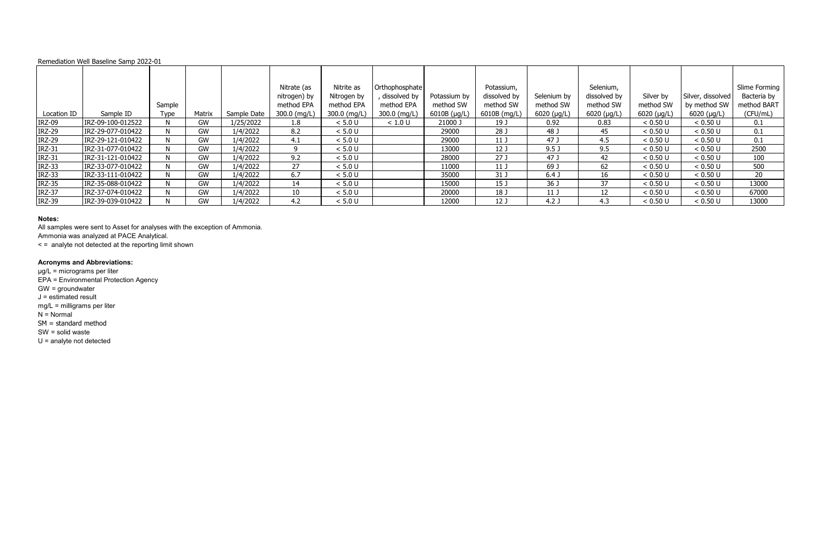|               |                   | Sample |           |             | Nitrate (as<br>nitrogen) by<br>method EPA | Nitrite as<br>Nitrogen by<br>method EPA | Orthophosphate<br>dissolved by<br>method EPA | Potassium by<br>method SW | Potassium,<br>dissolved by<br>method SW | Selenium by<br>method SW | Selenium,<br>dissolved by<br>method SW | Silver by<br>method SW | Silver, dissolved<br>by method SW | Slime Forming<br>Bacteria by<br>method BART |
|---------------|-------------------|--------|-----------|-------------|-------------------------------------------|-----------------------------------------|----------------------------------------------|---------------------------|-----------------------------------------|--------------------------|----------------------------------------|------------------------|-----------------------------------|---------------------------------------------|
| Location ID   | Sample ID         | Type   | Matrix    | Sample Date | 300.0 (mg/L)                              | 300.0 (mg/L)                            | 300.0 (mg/L)                                 | 6010B (µg/L)              | 6010B (mg/L)                            | 6020 (µg/L)              | 6020 (µg/L)                            | $6020$ (µg/L)          | $6020$ ( $\mu$ g/L)               | (CFU/mL)                                    |
| <b>IRZ-09</b> | IRZ-09-100-012522 |        | GW        | 1/25/2022   | $1.8\phantom{0}$                          | < 5.0 U                                 | < 1.0 U                                      | 21000 J                   | 19 <sub>J</sub>                         | 0.92                     | 0.83                                   | < 0.50 U               | < 0.50 U                          | 0.1                                         |
| <b>IRZ-29</b> | IRZ-29-077-010422 |        | GW        | 1/4/2022    | 8.2                                       | < 5.0 U                                 |                                              | 29000                     | 28 J                                    | 48 J                     | 45                                     | < 0.50 U               | < 0.50 U                          | 0.1                                         |
| <b>IRZ-29</b> | IRZ-29-121-010422 |        | GW        | 1/4/2022    | 4.1                                       | < 5.0 U                                 |                                              | 29000                     | 11 <sub>J</sub>                         | 47 J                     | 4.5                                    | < 0.50 U               | < 0.50 U                          | 0.1                                         |
| <b>IRZ-31</b> | IRZ-31-077-010422 |        | GW        | 1/4/2022    |                                           | < 5.0 U                                 |                                              | 13000                     | 12 <sub>J</sub>                         | 9.5 <sub>0</sub>         | 9.5                                    | < 0.50 U               | < 0.50 U                          | 2500                                        |
| <b>IRZ-31</b> | IRZ-31-121-010422 |        | GW        | 1/4/2022    | 9.2                                       | < 5.0 U                                 |                                              | 28000                     | 27J                                     | 47 J                     | 42                                     | < 0.50 U               | < 0.50 U                          | 100                                         |
| <b>IRZ-33</b> | IRZ-33-077-010422 |        | <b>GW</b> | 1/4/2022    | 27                                        | < 5.0 U                                 |                                              | 11000                     | 11 <sub>J</sub>                         | 69 J                     | 62                                     | < 0.50 U               | < 0.50 U                          | 500                                         |
| <b>IRZ-33</b> | IRZ-33-111-010422 |        | GW        | 1/4/2022    | 6.7                                       | < 5.0 U                                 |                                              | 35000                     | 31 J                                    | 6.4 <sub>J</sub>         | 16                                     | < 0.50 U               | < 0.50 U                          | 20                                          |
| <b>IRZ-35</b> | IRZ-35-088-010422 |        | <b>GW</b> | 1/4/2022    | 14                                        | < 5.0 U                                 |                                              | 15000                     | 15 J                                    | 36 J                     | 37                                     | < 0.50 U               | < 0.50 U                          | 13000                                       |
| <b>IRZ-37</b> | IRZ-37-074-010422 |        | GW        | 1/4/2022    | 10                                        | < 5.0 U                                 |                                              | 20000                     | 18 J                                    | 11 <sub>1</sub>          | $12 \overline{ }$                      | < 0.50 U               | < 0.50 U                          | 67000                                       |
| <b>IRZ-39</b> | IRZ-39-039-010422 |        | GW        | 1/4/2022    | 4.2                                       | < 5.0 U                                 |                                              | 12000                     | 12 <sub>J</sub>                         | 4.2 <sub>0</sub>         | 4.3                                    | < 0.50 U               | < 0.50 U                          | 13000                                       |

### **Notes:**

All samples were sent to Asset for analyses with the exception of Ammonia.

Ammonia was analyzed at PACE Analytical.

< = analyte not detected at the reporting limit shown

## **Acronyms and Abbreviations:**

µg/L = micrograms per liter

EPA = Environmental Protection Agency

GW = groundwater

 $J =$  estimated result

mg/L = milligrams per liter

 $N =$  Normal

SM = standard method

SW = solid waste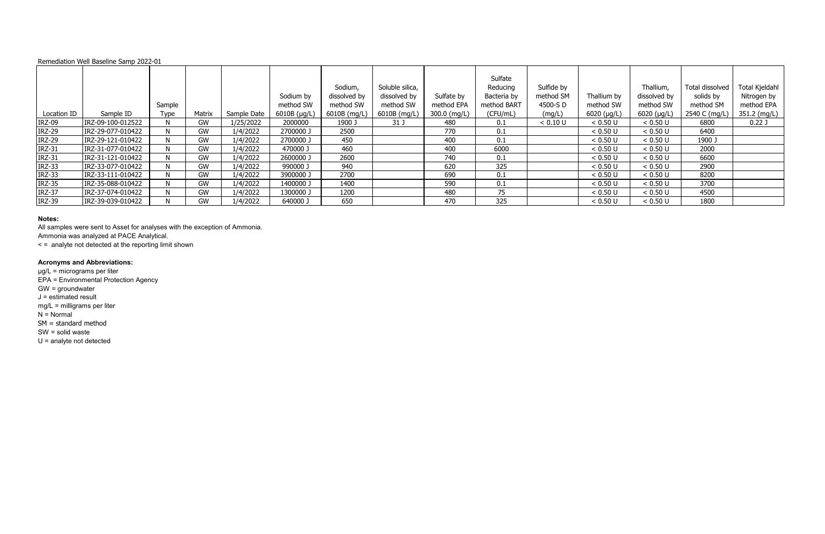|               |                   | Sample      |        |             | Sodium by<br>method SW | Sodium,<br>dissolved by<br>method SW | Soluble silica,<br>dissolved by<br>method SW | Sulfate by<br>method EPA | Sulfate<br>Reducing<br>Bacteria by<br>method BART | Sulfide by<br>method SM<br>4500-S D | Thallium by<br>method SW | Thallium,<br>dissolved by<br>method SW | Total dissolved<br>solids by<br>method SM | Total Kjeldahl<br>Nitrogen by<br>method EPA |
|---------------|-------------------|-------------|--------|-------------|------------------------|--------------------------------------|----------------------------------------------|--------------------------|---------------------------------------------------|-------------------------------------|--------------------------|----------------------------------------|-------------------------------------------|---------------------------------------------|
| Location ID   | Sample ID         | <b>Type</b> | Matrix | Sample Date | 6010B (µg/L)           | 6010B (mg/L)                         | 6010B (mg/L)                                 | 300.0 (mg/L)             | (CFU/mL)                                          | (mg/L)                              | 6020 (µg/L)              | $6020$ (µg/L)                          | 2540 C (mg/L)                             | 351.2 (mg/L)                                |
| <b>IRZ-09</b> | IRZ-09-100-012522 |             | GW     | 1/25/2022   | 2000000                | 1900 J                               | 31 J                                         | 480                      | 0.1                                               | < 0.10 U                            | < 0.50 U                 | < 0.50 U                               | 6800                                      | 0.22J                                       |
| <b>IRZ-29</b> | IRZ-29-077-010422 | N           | GW     | 1/4/2022    | 2700000 J              | 2500                                 |                                              | 770                      | 0.1                                               |                                     | < 0.50 U                 | < 0.50 U                               | 6400                                      |                                             |
| <b>IRZ-29</b> | IRZ-29-121-010422 | N           | GW     | 1/4/2022    | 2700000 J              | 450                                  |                                              | 400                      | 0.1                                               |                                     | < 0.50 U                 | < 0.50 U                               | 1900 J                                    |                                             |
| <b>IRZ-31</b> | IRZ-31-077-010422 | N           | GW     | 1/4/2022    | 470000 J               | 460                                  |                                              | 400                      | 6000                                              |                                     | < 0.50 U                 | < 0.50 U                               | 2000                                      |                                             |
| <b>IRZ-31</b> | IRZ-31-121-010422 |             | GW     | 1/4/2022    | 2600000 J              | 2600                                 |                                              | 740                      | 0.1                                               |                                     | < 0.50 U                 | < 0.50 U                               | 6600                                      |                                             |
| <b>IRZ-33</b> | IRZ-33-077-010422 |             | GW     | 1/4/2022    | 990000 J               | 940                                  |                                              | 620                      | 325                                               |                                     | < 0.50 U                 | < 0.50 U                               | 2900                                      |                                             |
| <b>IRZ-33</b> | IRZ-33-111-010422 | N           | GW     | 1/4/2022    | 3900000 J              | 2700                                 |                                              | 690                      | 0.1                                               |                                     | < 0.50 U                 | < 0.50 U                               | 8200                                      |                                             |
| <b>IRZ-35</b> | IRZ-35-088-010422 |             | GW     | 1/4/2022    | 1400000 J              | 1400                                 |                                              | 590                      | 0.1                                               |                                     | < 0.50 U                 | < 0.50 U                               | 3700                                      |                                             |
| <b>IRZ-37</b> | IRZ-37-074-010422 | N           | GW     | 1/4/2022    | 1300000 J              | 1200                                 |                                              | 480                      | 75                                                |                                     | < 0.50 U                 | < 0.50 U                               | 4500                                      |                                             |
| <b>IRZ-39</b> | IRZ-39-039-010422 |             | GW     | 1/4/2022    | 640000 J               | 650                                  |                                              | 470                      | 325                                               |                                     | < 0.50 U                 | < 0.50 U                               | 1800                                      |                                             |

### **Notes:**

All samples were sent to Asset for analyses with the exception of Ammonia.

Ammonia was analyzed at PACE Analytical.

< = analyte not detected at the reporting limit shown

## **Acronyms and Abbreviations:**

µg/L = micrograms per liter

EPA = Environmental Protection Agency

GW = groundwater

 $J =$  estimated result

mg/L = milligrams per liter

 $N =$  Normal

SM = standard method

SW = solid waste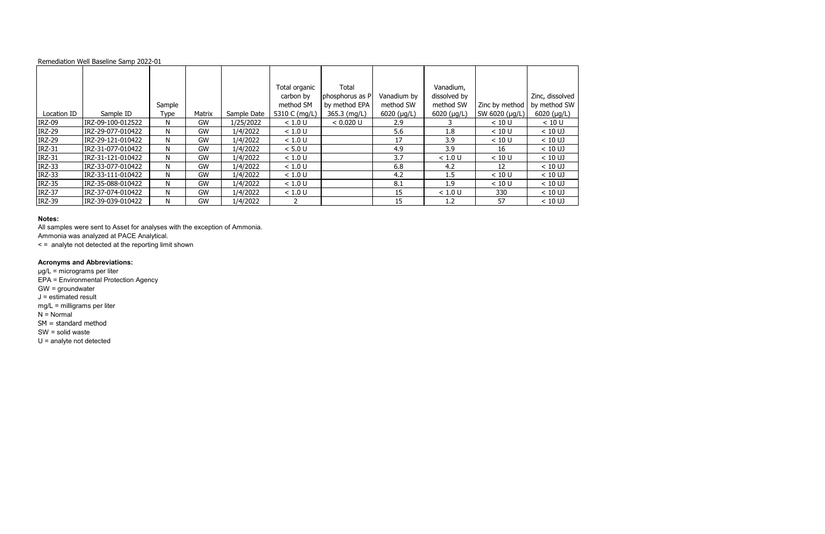|               |                   |        |           |             | Total organic<br>carbon by | Total<br>phosphorus as P | Vanadium by         | Vanadium,<br>dissolved by |                | Zinc, dissolved     |
|---------------|-------------------|--------|-----------|-------------|----------------------------|--------------------------|---------------------|---------------------------|----------------|---------------------|
|               |                   | Sample |           |             | method SM                  | by method EPA            | method SW           | method SW                 | Zinc by method | by method SW        |
| Location ID   | Sample ID         | Type   | Matrix    | Sample Date | 5310 C (mg/L)              | 365.3 (mg/L)             | $6020$ ( $\mu$ g/L) | 6020 ( $\mu$ g/L)         | SW 6020 (µg/L) | $6020$ ( $\mu$ g/L) |
| <b>IRZ-09</b> | IRZ-09-100-012522 | N.     | GW        | 1/25/2022   | < 1.0 U                    | < 0.020 U                | 2.9                 |                           | < 10 U         | < 10 U              |
| <b>IRZ-29</b> | IRZ-29-077-010422 | N      | GW        | 1/4/2022    | < 1.0 U                    |                          | 5.6                 | 1.8                       | < 10 U         | $< 10$ UJ           |
| <b>IRZ-29</b> | IRZ-29-121-010422 | N      | <b>GW</b> | 1/4/2022    | < 1.0 U                    |                          | 17                  | 3.9                       | < 10 U         | $< 10$ UJ           |
| <b>IRZ-31</b> | IRZ-31-077-010422 | N      | GW        | 1/4/2022    | < 5.0 U                    |                          | 4.9                 | 3.9                       | 16             | $< 10$ UJ           |
| <b>IRZ-31</b> | IRZ-31-121-010422 | N      | GW        | 1/4/2022    | < 1.0 U                    |                          | 3.7                 | < 1.0 U                   | < 10 U         | $< 10$ UJ           |
| <b>IRZ-33</b> | IRZ-33-077-010422 | N      | GW        | 1/4/2022    | < 1.0 U                    |                          | 6.8                 | 4.2                       | 12             | $< 10$ UJ           |
| <b>IRZ-33</b> | IRZ-33-111-010422 | N      | <b>GW</b> | 1/4/2022    | < 1.0 U                    |                          | 4.2                 | 1.5                       | < 10 U         | $< 10$ UJ           |
| <b>IRZ-35</b> | IRZ-35-088-010422 | N      | GW        | 1/4/2022    | < 1.0 U                    |                          | 8.1                 | 1.9                       | < 10 U         | $< 10$ UJ           |
| <b>IRZ-37</b> | IRZ-37-074-010422 | N.     | GW        | 1/4/2022    | < 1.0 U                    |                          | 15                  | < 1.0 U                   | 330            | $< 10$ UJ           |
| <b>IRZ-39</b> | IRZ-39-039-010422 | N      | <b>GW</b> | 1/4/2022    |                            |                          | 15                  | 1.2                       | 57             | $< 10$ UJ           |

### **Notes:**

All samples were sent to Asset for analyses with the exception of Ammonia.

Ammonia was analyzed at PACE Analytical.

< = analyte not detected at the reporting limit shown

## **Acronyms and Abbreviations:**

µg/L = micrograms per liter

EPA = Environmental Protection Agency

GW = groundwater

 $J =$  estimated result

mg/L = milligrams per liter

 $N =$  Normal

SM = standard method

SW = solid waste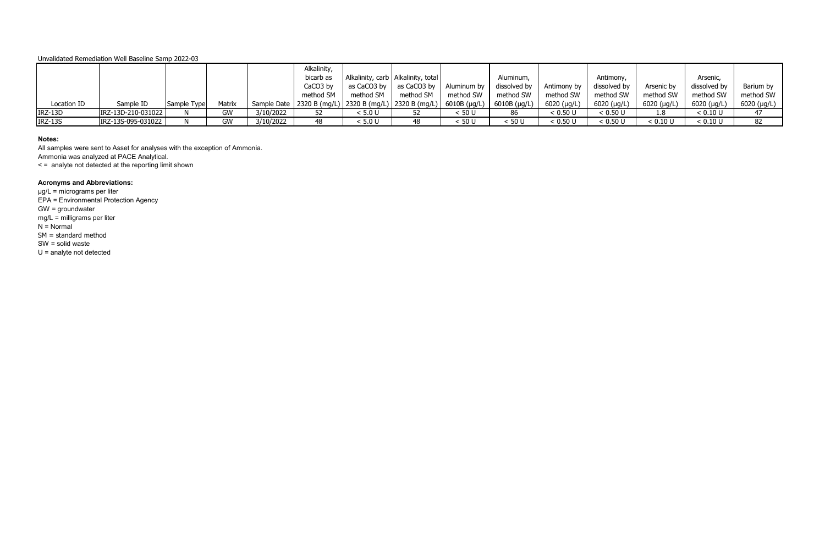|             |                    |             |        |           | Alkalinity, |               |                                                                            |             |                    |             |                     |             |               |             |
|-------------|--------------------|-------------|--------|-----------|-------------|---------------|----------------------------------------------------------------------------|-------------|--------------------|-------------|---------------------|-------------|---------------|-------------|
|             |                    |             |        |           | bicarb as   |               | Alkalinity, carb   Alkalinity, total                                       |             | Aluminum,          |             | Antimony,           |             | Arsenic,      |             |
|             |                    |             |        |           | CaCO3 by    | as CaCO3 by I | as CaCO3 by                                                                | Aluminum by | dissolved by       | Antimony by | dissolved by        | Arsenic by  | dissolved by  | Barium by   |
|             |                    |             |        |           | method SM   | method SM     | method SM                                                                  | method SW   | method SW          | method SW   | method SW           | method SW   | method SW     | method SW   |
| Location ID | Sample ID          | Sample Type | Matrix |           |             |               | Sample Date   2320 B (mg/L)   2320 B (mg/L)   2320 B (mg/L)   6010B (µg/L) |             | 6010B ( $\mu$ g/L) | 6020 (µg/L) | $6020 \; (\mu g/L)$ | 6020 (µg/L) | $6020$ (µg/L) | 6020 (µg/L) |
| IRZ-13D     | IRZ-13D-210-031022 |             | GW     | 3/10/2022 | 52          | < 5.0 U       |                                                                            | < 50 U      | 86                 | < 0.50 U    | < 0.50 U            | 1.8         | < 0.10 U      | 47          |
| IRZ-13S     | IRZ-13S-095-031022 |             | GW     | 3/10/2022 | 48          | < 5.0 U       | 48                                                                         | < 50 U      | < 50 U             | < 0.50 U    | < 0.50 U            | < 0.10 L    | < 0.10 U      | 82          |

### **Notes:**

All samples were sent to Asset for analyses with the exception of Ammonia. Ammonia was analyzed at PACE Analytical.

< = analyte not detected at the reporting limit shown

# **Acronyms and Abbreviations:**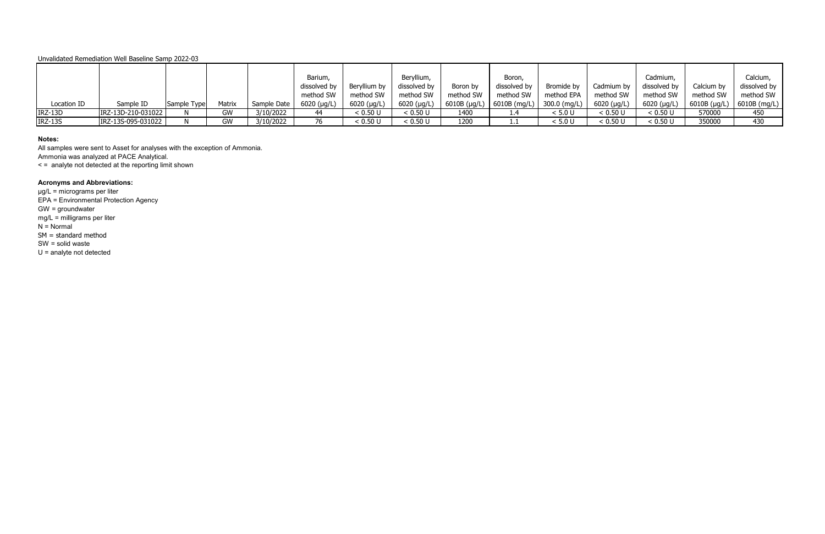|             |                    |             |        |             | Barium,             |               | Beryllium,    |           | Boron,                      |              |               | Cadmium,     |                | Calcium,     |
|-------------|--------------------|-------------|--------|-------------|---------------------|---------------|---------------|-----------|-----------------------------|--------------|---------------|--------------|----------------|--------------|
|             |                    |             |        |             | dissolved by        | Beryllium by  | dissolved by  | Boron by  | dissolved by                | Bromide by   | Cadmium by    | dissolved by | Calcium by     | dissolved by |
|             |                    |             |        |             | method SW           | method SW     | method SW     | method SW | method SW                   | method EPA   | method SW     | method SW    | method SW      | method SW    |
| Location ID | Sample ID          | Sample Type | Matrix | Sample Date | $6020$ ( $\mu$ g/L) | $6020$ (µg/L) | $6020$ (µg/L) |           | 6010B (µg/L)   6010B (mg/L) | 300.0 (mg/L) | $6020$ (µg/L) | 6020 (µg/L)  | (6010B (µg/L)) | 6010B (mg/L) |
| IRZ-13D     | IRZ-13D-210-031022 |             | GW     | 3/10/2022   | 44                  | < 0.50 U      | < 0.50 U      | 1400      | 1.4                         | < 5.0 U      | < 0.50 U      | < 0.50 U     | 570000         | 450          |
| IRZ-13S     | IRZ-13S-095-031022 |             | GW     | 3/10/2022   | 76                  | < 0.50 U      | < 0.50 U      | 1200      | .                           | < 5.0 U      | < 0.50 U      | < 0.50 U     | 350000         | 430          |

### **Notes:**

All samples were sent to Asset for analyses with the exception of Ammonia. Ammonia was analyzed at PACE Analytical.

< = analyte not detected at the reporting limit shown

# **Acronyms and Abbreviations:**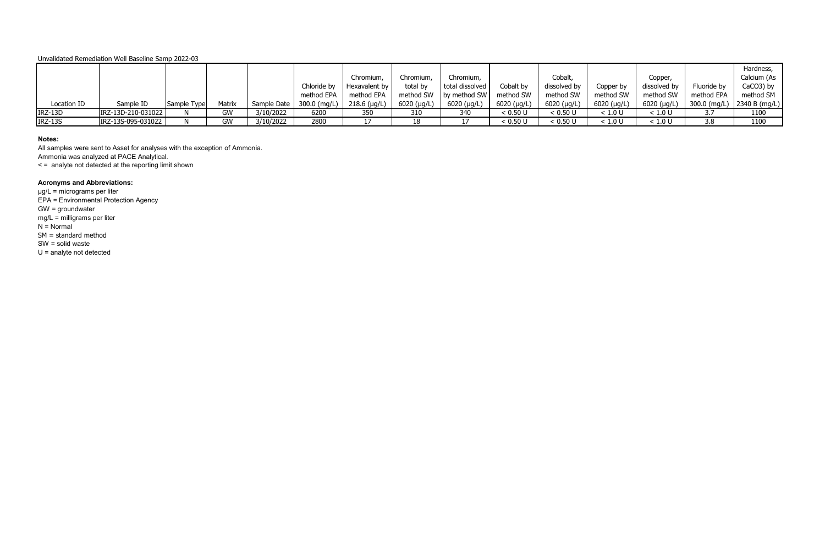|                |                    |             |        |                            |             |                |             |                 |             |               |                     |              |                      | Hardness,     |
|----------------|--------------------|-------------|--------|----------------------------|-------------|----------------|-------------|-----------------|-------------|---------------|---------------------|--------------|----------------------|---------------|
|                |                    |             |        |                            |             | Chromium,      | Chromium,   | Chromium,       |             | Cobalt,       |                     | Copper,      |                      | Calcium (As   |
|                |                    |             |        |                            | Chloride by | Hexavalent by  | total by    | total dissolved | Cobalt by   | dissolved by  | Copper by           | dissolved by | Fluoride by          | CaCO3) by     |
|                |                    |             |        |                            | method EPA  | method EPA     | method SW   | by method SW    | method SW   | method SW     | method SW           | method SW    | method EPA           | method SM     |
| Location ID    | Sample ID          | Sample Type | Matrix | Sample Date   300.0 (mg/L) |             | $218.6$ (µg/L) | 6020 (µg/L) | 6020 (µg/L)     | 6020 (µg/L) | $6020$ (µg/L) | $6020 \; (\mu g/L)$ | 6020 (µg/L)  | 300.0 (mg/L) $\vert$ | 2340 B (mg/L) |
| IRZ-13D        | IRZ-13D-210-031022 |             | GW     | 3/10/2022                  | 6200        | 350            | 310         | 340             | < 0.50 U    | < 0.50 U      | < 1.0 U             | < 1.0 U      | 3.7                  | 1100          |
| <b>IRZ-13S</b> | IRZ-13S-095-031022 |             | GW     | 3/10/2022                  | 2800        |                |             |                 | < 0.50 U    | < 0.50 U      | < 1.0 U             | < 1.0 U      | 3.8                  | 1100          |

### **Notes:**

All samples were sent to Asset for analyses with the exception of Ammonia. Ammonia was analyzed at PACE Analytical.

< = analyte not detected at the reporting limit shown

# **Acronyms and Abbreviations:**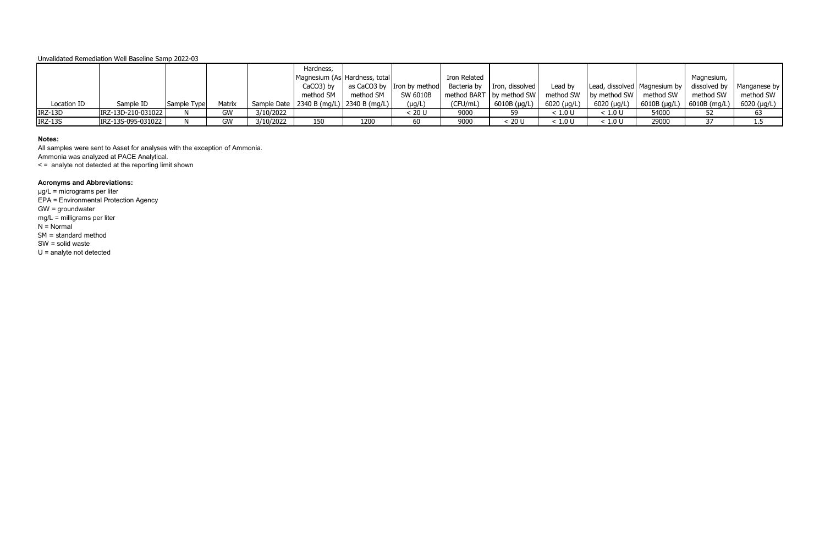|             |                    |             |        |           | Hardness,<br>Magnesium (As Hardness, total  |           |                                                            | Iron Related |                                                       |               |                                               |              | Magnesium,     |              |
|-------------|--------------------|-------------|--------|-----------|---------------------------------------------|-----------|------------------------------------------------------------|--------------|-------------------------------------------------------|---------------|-----------------------------------------------|--------------|----------------|--------------|
|             |                    |             |        |           | CaCO3) by                                   |           | as CaCO3 by Iron by method   Bacteria by   Iron, dissolved |              |                                                       | Lead by       | Lead, dissolved   Magnesium by   dissolved by |              |                | Manganese by |
|             |                    |             |        |           | method SM                                   | method SM | SW 6010B                                                   |              | method BART   by method SW   method SW   by method SW |               |                                               | method SW    | method SW      | method SW    |
| Location ID | Sample ID          | Sample Type | Matrix |           | Sample Date   2340 B (mg/L)   2340 B (mg/L) |           | $(\mu g/L)$                                                | (CFU/mL)     | $6010B$ (µg/L)                                        | $6020$ (µg/L) | 6020 (µg/L)                                   | 6010B (µg/L) | ) 6010B (mg/L) | 6020 (µg/L)  |
| IRZ-13D     | IRZ-13D-210-031022 |             | GW     | 3/10/2022 |                                             |           | < 20 U                                                     | 9000         |                                                       | < 1.0 U       | < 1.0 U                                       | 54000        |                | 63           |
| IRZ-13S     | IRZ-13S-095-031022 |             | GW     | 3/10/2022 | 150                                         | 1200      |                                                            | 9000         | < 20 U                                                | < 1.0 U       | < 1.0 U                                       | 29000        |                | 1.5          |

### **Notes:**

All samples were sent to Asset for analyses with the exception of Ammonia. Ammonia was analyzed at PACE Analytical.

< = analyte not detected at the reporting limit shown

# **Acronyms and Abbreviations:**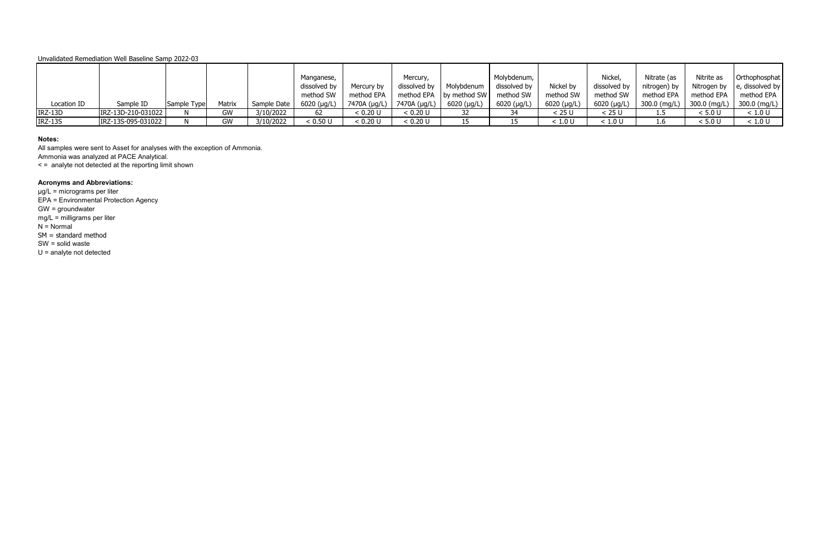|                |                    |             |        |             | Manganese,   |              | Mercury,     |                                       | Molybdenum,  |             | Nickel,      | Nitrate (as                 | Nitrite as | Orthophosphat                    |
|----------------|--------------------|-------------|--------|-------------|--------------|--------------|--------------|---------------------------------------|--------------|-------------|--------------|-----------------------------|------------|----------------------------------|
|                |                    |             |        |             | dissolved by | Mercury by   | dissolved by | Molybdenum                            | dissolved by | Nickel by   | dissolved by | nitrogen) by                |            | Nitrogen by $\ $ e, dissolved by |
|                |                    |             |        |             | method SW    | method EPA   |              | method EPA   by method SW   method SW |              | method SW   | method SW    | method EPA                  | method EPA | method EPA                       |
| Location ID    | Sample ID          | Sample Type | Matrix | Sample Date | 6020 (µg/L)  | 7470A (µg/L) | 7470A (µg/L) | $6020 \; (\mu g/L)$                   | 6020 (µg/L)  | 6020 (µg/L) | 6020 (µg/L)  | 300.0 (mg/L)   300.0 (mg/L) |            | 300.0 (mg/L)                     |
| $IRZ-13D$      | IRZ-13D-210-031022 |             | GW     | 3/10/2022   | 62           | < 0.20 U     | < 0.20 U     |                                       |              | < 25 U      | < 25 U       |                             | < 5.0 U    | < 1.0 U                          |
| <b>IRZ-13S</b> | IRZ-13S-095-031022 |             | GW     | 3/10/2022   | < 0.50 U     | < 0.20 U     | < 0.20 U     |                                       |              | < 1.0 U     | < 1.0 U      | 1.6                         | < 5.0 U    | < 1.0 U                          |

### **Notes:**

All samples were sent to Asset for analyses with the exception of Ammonia. Ammonia was analyzed at PACE Analytical.

< = analyte not detected at the reporting limit shown

# **Acronyms and Abbreviations:**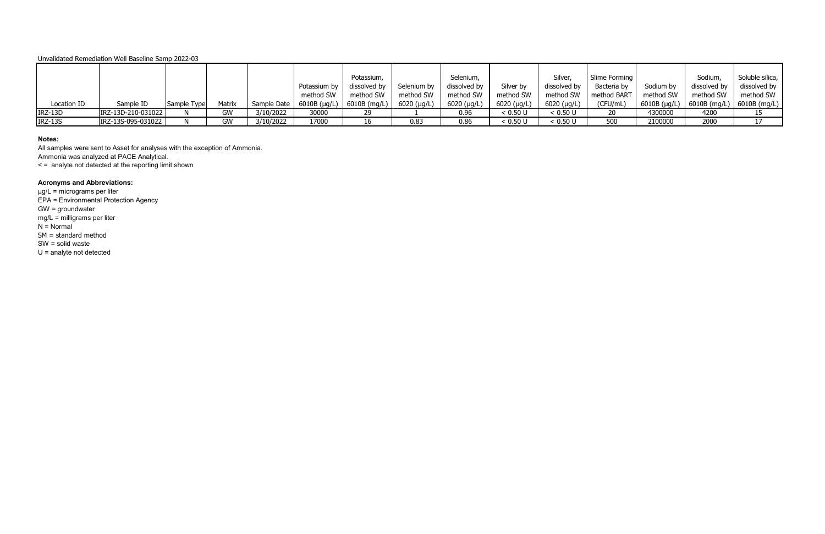|             |                    |             |        |           |                              | Potassium,   |               | Selenium,     |             | Silver,       | Slime Forming |              | Sodium,             | Soluble silica, |
|-------------|--------------------|-------------|--------|-----------|------------------------------|--------------|---------------|---------------|-------------|---------------|---------------|--------------|---------------------|-----------------|
|             |                    |             |        |           | Potassium by                 | dissolved by | Selenium by   | dissolved by  | Silver by   | dissolved by  | Bacteria by   | Sodium by    | dissolved by        | dissolved by    |
|             |                    |             |        |           | method SW                    | method SW    | method SW     | method SW     | method SW   | method SW     | method BART   | method SW    | method SW           | method SW       |
| Location ID | Sample ID          | Sample Type | Matrix |           | Sample Date   $6010B (µg/L)$ | 6010B (mg/L) | $6020$ (µg/L) | $6020$ (µg/L) | 6020 (μg/L) | $6020$ (µg/L) | (CFU/mL)      | 6010B (µg/L) | $\mid$ 6010B (mg/L) | $6010B$ (mg/L)  |
| IRZ-13D     | IRZ-13D-210-031022 |             | GW     | 3/10/2022 | 30000                        |              |               | 0.96          | < 0.50 U    | < 0.50 U      | 20            | 4300000      | 4200                |                 |
| IRZ-13S     | IRZ-13S-095-031022 |             | GW     | 3/10/2022 | 17000                        | 16           | 0.83          | 0.86          | < 0.50 U    | < 0.50 U      | 500           | 2100000      | 2000                |                 |

### **Notes:**

All samples were sent to Asset for analyses with the exception of Ammonia. Ammonia was analyzed at PACE Analytical.

< = analyte not detected at the reporting limit shown

# **Acronyms and Abbreviations:**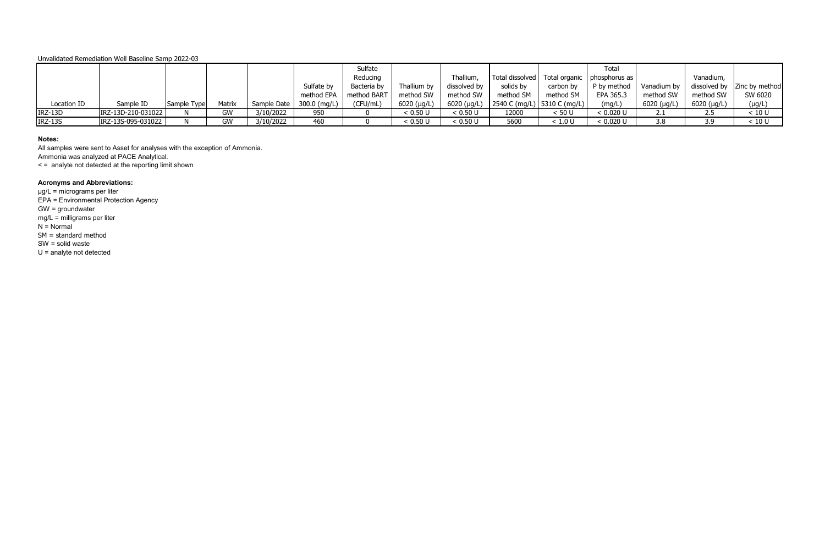|                |                    |             |        |                              |            | Sulfate     |                     |              |                                                 |           | Total       |                     |             |                               |
|----------------|--------------------|-------------|--------|------------------------------|------------|-------------|---------------------|--------------|-------------------------------------------------|-----------|-------------|---------------------|-------------|-------------------------------|
|                |                    |             |        |                              |            | Reducing    |                     | Thallium     | Total dissolved   Total organic   phosphorus as |           |             |                     | Vanadium,   |                               |
|                |                    |             |        |                              | Sulfate by | Bacteria by | Thallium by         | dissolved by | solids by                                       | carbon by | P by method | Vanadium by         |             | dissolved by   Zinc by method |
|                |                    |             |        |                              | method EPA | method BART | method SW           | method SW    | method SM                                       | method SM | EPA 365.3   | method SW           | method SW   | SW 6020                       |
| Location ID    | Sample ID          | Sample Type | Matrix | Sample Date   $300.0$ (mg/L) |            | (CFU/mL)    | $6020$ ( $\mu$ g/L) |              | 6020 (µg/L)   2540 C (mg/L)   5310 C (mg/L)     |           | (mg/L)      | $6020$ ( $\mu$ g/L) | 6020 (µg/L) | $(\mu g/L)$                   |
| $IRZ-13D$      | IRZ-13D-210-031022 |             | GW     | 3/10/2022                    | 950        |             | < 0.50 U            | < 0.50 U     | 12000                                           | < 50 U    | < 0.020 U   |                     | 2.5         | < 10 U                        |
| <b>IRZ-13S</b> | IRZ-13S-095-031022 |             | GW     | 3/10/2022                    | 460        |             | < 0.50 U            | < 0.50 U     | 5600                                            | < 1.0 U   | < 0.020 U   | 3.8                 | 3.9         | < 10 U                        |

### **Notes:**

All samples were sent to Asset for analyses with the exception of Ammonia. Ammonia was analyzed at PACE Analytical.

< = analyte not detected at the reporting limit shown

# **Acronyms and Abbreviations:**